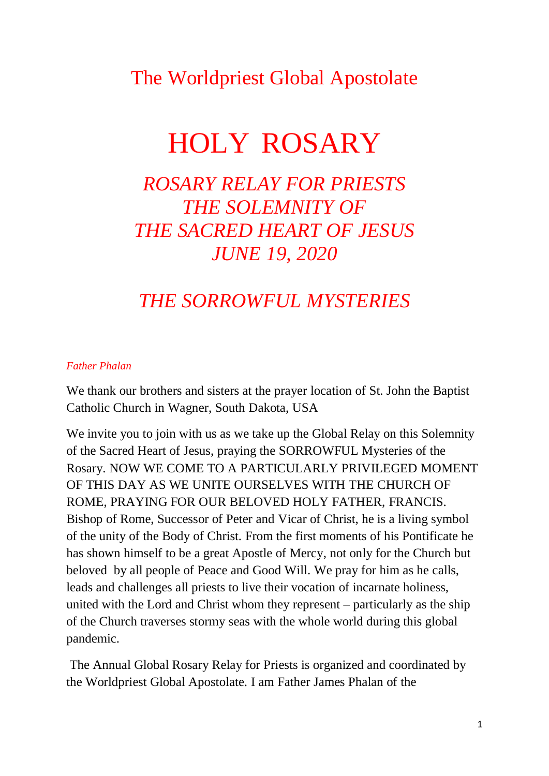### The Worldpriest Global Apostolate

# HOLY ROSARY

### *ROSARY RELAY FOR PRIESTS THE SOLEMNITY OF THE SACRED HEART OF JESUS JUNE 19, 2020*

### *THE SORROWFUL MYSTERIES*

#### *Father Phalan*

We thank our brothers and sisters at the prayer location of St. John the Baptist Catholic Church in Wagner, South Dakota, USA

We invite you to join with us as we take up the Global Relay on this Solemnity of the Sacred Heart of Jesus, praying the SORROWFUL Mysteries of the Rosary. NOW WE COME TO A PARTICULARLY PRIVILEGED MOMENT OF THIS DAY AS WE UNITE OURSELVES WITH THE CHURCH OF ROME, PRAYING FOR OUR BELOVED HOLY FATHER, FRANCIS. Bishop of Rome, Successor of Peter and Vicar of Christ, he is a living symbol of the unity of the Body of Christ. From the first moments of his Pontificate he has shown himself to be a great Apostle of Mercy, not only for the Church but beloved by all people of Peace and Good Will. We pray for him as he calls, leads and challenges all priests to live their vocation of incarnate holiness, united with the Lord and Christ whom they represent – particularly as the ship of the Church traverses stormy seas with the whole world during this global pandemic.

The Annual Global Rosary Relay for Priests is organized and coordinated by the Worldpriest Global Apostolate. I am Father James Phalan of the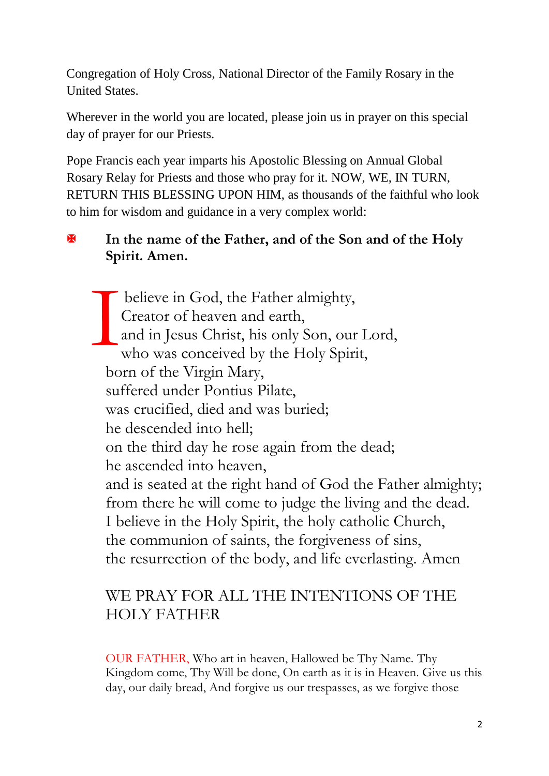Congregation of Holy Cross, National Director of the Family Rosary in the United States.

Wherever in the world you are located, please join us in prayer on this special day of prayer for our Priests.

Pope Francis each year imparts his Apostolic Blessing on Annual Global Rosary Relay for Priests and those who pray for it. NOW, WE, IN TURN, RETURN THIS BLESSING UPON HIM, as thousands of the faithful who look to him for wisdom and guidance in a very complex world:

#### **In the name of the Father, and of the Son and of the Holy Spirit. Amen.**

believe in God, the Father almighty, Creator of heaven and earth, and in Jesus Christ, his only Son, our Lord, who was conceived by the Holy Spirit, born of the Virgin Mary, suffered under Pontius Pilate, was crucified, died and was buried; he descended into hell; on the third day he rose again from the dead; he ascended into heaven, and is seated at the right hand of God the Father almighty; from there he will come to judge the living and the dead. I believe in the Holy Spirit, the holy catholic Church, the communion of saints, the forgiveness of sins, the resurrection of the body, and life everlasting. Amen I

#### WE PRAY FOR ALL THE INTENTIONS OF THE HOLY FATHER

OUR FATHER, Who art in heaven, Hallowed be Thy Name. Thy Kingdom come, Thy Will be done, On earth as it is in Heaven. Give us this day, our daily bread, And forgive us our trespasses, as we forgive those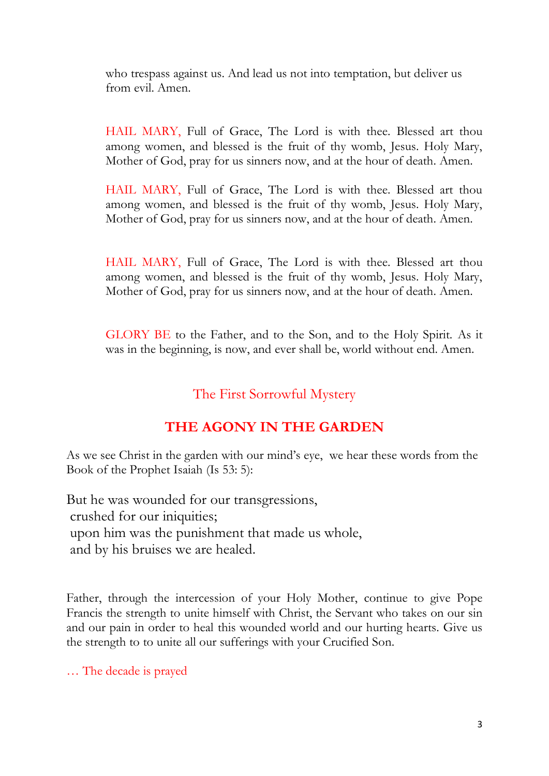who trespass against us. And lead us not into temptation, but deliver us from evil. Amen.

HAIL MARY, Full of Grace, The Lord is with thee. Blessed art thou among women, and blessed is the fruit of thy womb, Jesus. Holy Mary, Mother of God, pray for us sinners now, and at the hour of death. Amen.

HAIL MARY, Full of Grace, The Lord is with thee. Blessed art thou among women, and blessed is the fruit of thy womb, Jesus. Holy Mary, Mother of God, pray for us sinners now, and at the hour of death. Amen.

HAIL MARY, Full of Grace, The Lord is with thee. Blessed art thou among women, and blessed is the fruit of thy womb, Jesus. Holy Mary, Mother of God, pray for us sinners now, and at the hour of death. Amen.

GLORY BE to the Father, and to the Son, and to the Holy Spirit. As it was in the beginning, is now, and ever shall be, world without end. Amen.

#### The First Sorrowful Mystery

#### **THE AGONY IN THE GARDEN**

As we see Christ in the garden with our mind's eye, we hear these words from the Book of the Prophet Isaiah (Is 53: 5):

But he was wounded for our transgressions, crushed for our iniquities; upon him was the punishment that made us whole, and by his bruises we are healed.

Father, through the intercession of your Holy Mother, continue to give Pope Francis the strength to unite himself with Christ, the Servant who takes on our sin and our pain in order to heal this wounded world and our hurting hearts. Give us the strength to to unite all our sufferings with your Crucified Son.

… The decade is prayed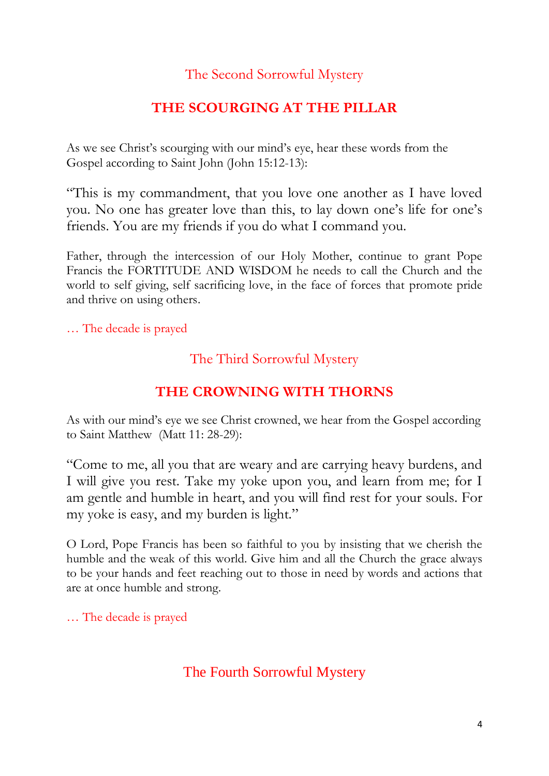#### The Second Sorrowful Mystery

#### **THE SCOURGING AT THE PILLAR**

As we see Christ's scourging with our mind's eye, hear these words from the Gospel according to Saint John (John 15:12-13):

"This is my commandment, that you love one another as I have loved you. No one has greater love than this, to lay down one's life for one's friends. You are my friends if you do what I command you.

Father, through the intercession of our Holy Mother, continue to grant Pope Francis the FORTITUDE AND WISDOM he needs to call the Church and the world to self giving, self sacrificing love, in the face of forces that promote pride and thrive on using others.

… The decade is prayed

#### The Third Sorrowful Mystery

#### **THE CROWNING WITH THORNS**

As with our mind's eye we see Christ crowned, we hear from the Gospel according to Saint Matthew (Matt 11: 28-29):

"Come to me, all you that are weary and are carrying heavy burdens, and I will give you rest. Take my yoke upon you, and learn from me; for I am gentle and humble in heart, and you will find rest for your souls. For my yoke is easy, and my burden is light."

O Lord, Pope Francis has been so faithful to you by insisting that we cherish the humble and the weak of this world. Give him and all the Church the grace always to be your hands and feet reaching out to those in need by words and actions that are at once humble and strong.

… The decade is prayed

#### The Fourth Sorrowful Mystery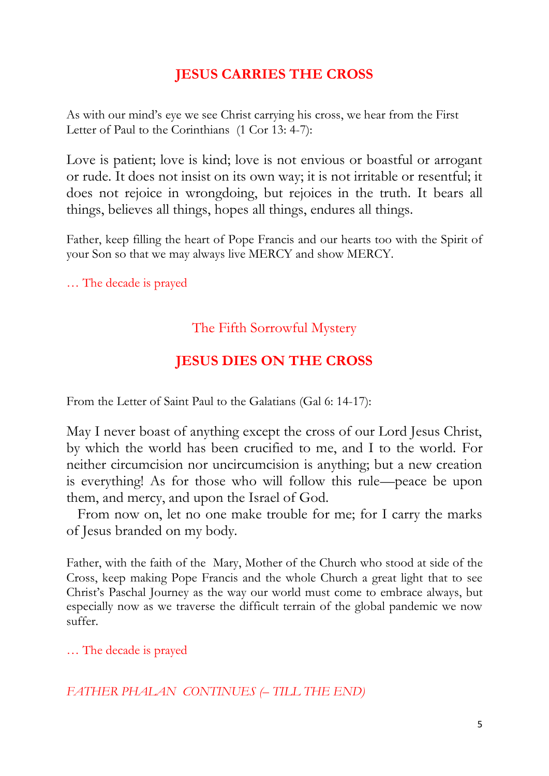#### **JESUS CARRIES THE CROSS**

As with our mind's eye we see Christ carrying his cross, we hear from the First Letter of Paul to the Corinthians (1 Cor 13: 4-7):

Love is patient; love is kind; love is not envious or boastful or arrogant or rude. It does not insist on its own way; it is not irritable or resentful; it does not rejoice in wrongdoing, but rejoices in the truth. It bears all things, believes all things, hopes all things, endures all things.

Father, keep filling the heart of Pope Francis and our hearts too with the Spirit of your Son so that we may always live MERCY and show MERCY.

… The decade is prayed

#### The Fifth Sorrowful Mystery

### **JESUS DIES ON THE CROSS**

From the Letter of Saint Paul to the Galatians (Gal 6: 14-17):

May I never boast of anything except the cross of our Lord Jesus Christ, by which the world has been crucified to me, and I to the world. For neither circumcision nor uncircumcision is anything; but a new creation is everything! As for those who will follow this rule—peace be upon them, and mercy, and upon the Israel of God.

 From now on, let no one make trouble for me; for I carry the marks of Jesus branded on my body.

Father, with the faith of the Mary, Mother of the Church who stood at side of the Cross, keep making Pope Francis and the whole Church a great light that to see Christ's Paschal Journey as the way our world must come to embrace always, but especially now as we traverse the difficult terrain of the global pandemic we now suffer.

… The decade is prayed

*FATHER PHALAN CONTINUES (– TILL THE END)*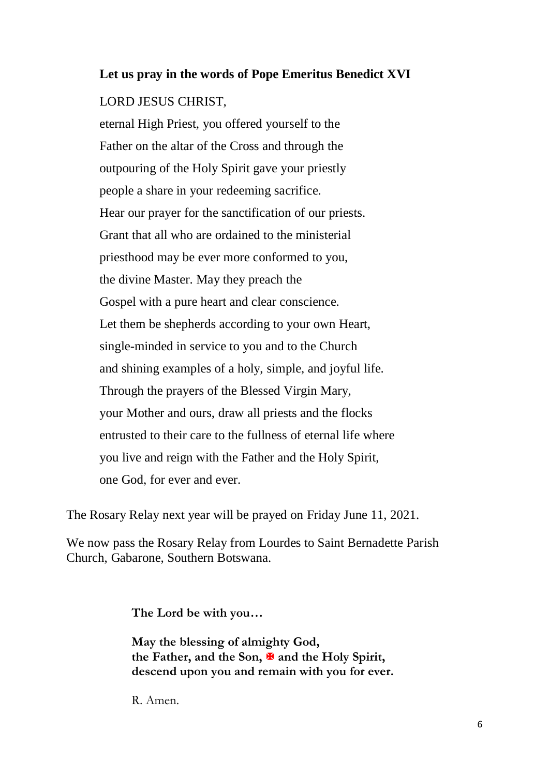## **Let us pray in the words of Pope Emeritus Benedict XVI** LORD JESUS CHRIST,

eternal High Priest, you offered yourself to the Father on the altar of the Cross and through the outpouring of the Holy Spirit gave your priestly people a share in your redeeming sacrifice. Hear our prayer for the sanctification of our priests. Grant that all who are ordained to the ministerial priesthood may be ever more conformed to you, the divine Master. May they preach the Gospel with a pure heart and clear conscience. Let them be shepherds according to your own Heart, single-minded in service to you and to the Church and shining examples of a holy, simple, and joyful life. Through the prayers of the Blessed Virgin Mary, your Mother and ours, draw all priests and the flocks entrusted to their care to the fullness of eternal life where you live and reign with the Father and the Holy Spirit, one God, for ever and ever.

The Rosary Relay next year will be prayed on Friday June 11, 2021.

We now pass the Rosary Relay from Lourdes to Saint Bernadette Parish Church, Gabarone, Southern Botswana.

**The Lord be with you…**

**May the blessing of almighty God,** the Father, and the Son,  $\overline{\mathbf{A}}$  and the Holy Spirit, **descend upon you and remain with you for ever.**

R. Amen.